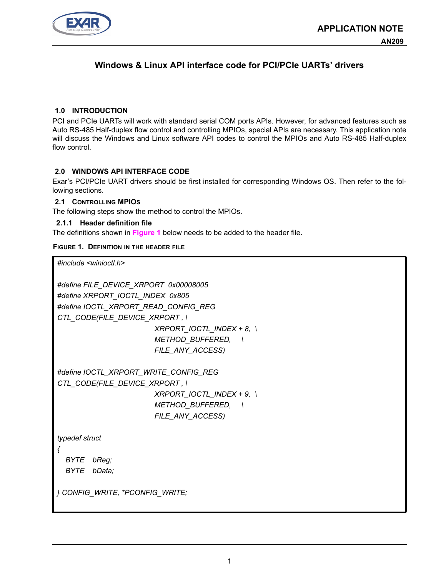

# **Windows & Linux API interface code for PCI/PCIe UARTs' drivers**

# **1.0 INTRODUCTION**

PCI and PCIe UARTs will work with standard serial COM ports APIs. However, for advanced features such as Auto RS-485 Half-duplex flow control and controlling MPIOs, special APIs are necessary. This application note will discuss the Windows and Linux software API codes to control the MPIOs and Auto RS-485 Half-duplex flow control.

# **2.0 WINDOWS API INTERFACE CODE**

Exar's PCI/PCIe UART drivers should be first installed for corresponding Windows OS. Then refer to the following sections.

### **2.1 CONTROLLING MPIOS**

The following steps show the method to control the MPIOs.

### **2.1.1 Header definition file**

The definitions shown in **[Figure](#page-0-0) 1** below needs to be added to the header file.

#### <span id="page-0-0"></span>**FIGURE 1. DEFINITION IN THE HEADER FILE**

*#include <winioctl.h>*

| #define FILE_DEVICE_XRPORT 0x00008005<br>#define XRPORT_IOCTL_INDEX 0x805<br>#define IOCTL XRPORT READ CONFIG REG<br>CTL CODE(FILE DEVICE XRPORT, \ | XRPORT_IOCTL_INDEX + 8, \<br><b>METHOD BUFFERED, \</b><br>FILE ANY ACCESS) |  |
|-----------------------------------------------------------------------------------------------------------------------------------------------------|----------------------------------------------------------------------------|--|
| #define IOCTL_XRPORT_WRITE_CONFIG_REG<br>CTL_CODE(FILE_DEVICE_XRPORT, \                                                                             | XRPORT_IOCTL_INDEX + 9, \<br><b>METHOD_BUFFERED, \</b><br>FILE_ANY_ACCESS) |  |
| typedef struct                                                                                                                                      |                                                                            |  |
| BYTE bReg;<br>BYTE bData;                                                                                                                           |                                                                            |  |
| } CONFIG_WRITE, *PCONFIG_WRITE;                                                                                                                     |                                                                            |  |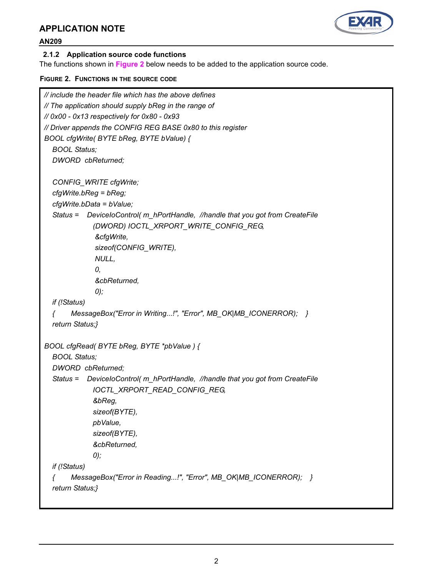# **APPLICATION NOTE**



# **AN209**

### **2.1.2 Application source code functions**

The functions shown in **[Figure](#page-1-0) 2** below needs to be added to the application source code.

#### <span id="page-1-0"></span>**FIGURE 2. FUNCTIONS IN THE SOURCE CODE**

```
// include the header file which has the above defines
// The application should supply bReg in the range of
// 0x00 - 0x13 respectively for 0x80 - 0x93
// Driver appends the CONFIG REG BASE 0x80 to this register
BOOL cfgWrite( BYTE bReg, BYTE bValue) {
   BOOL Status;
   DWORD cbReturned;
   CONFIG_WRITE cfgWrite;
   cfgWrite.bReg = bReg;
   cfgWrite.bData = bValue;
   Status = DeviceIoControl( m_hPortHandle, //handle that you got from CreateFile
               (DWORD) IOCTL_XRPORT_WRITE_CONFIG_REG,
               &cfgWrite, 
               sizeof(CONFIG_WRITE),
               NULL,
 0,
               &cbReturned,
               0);
   if (!Status)
   { MessageBox("Error in Writing...!", "Error", MB_OK|MB_ICONERROR); } 
   return Status;}
BOOL cfgRead( BYTE bReg, BYTE *pbValue ) {
   BOOL Status;
   DWORD cbReturned;
   Status = DeviceIoControl( m_hPortHandle, //handle that you got from CreateFile
               IOCTL_XRPORT_READ_CONFIG_REG,
               &bReg,
               sizeof(BYTE),
               pbValue,
               sizeof(BYTE),
               &cbReturned,
               0);
   if (!Status)
   { MessageBox("Error in Reading...!", "Error", MB_OK|MB_ICONERROR); }
   return Status;}
```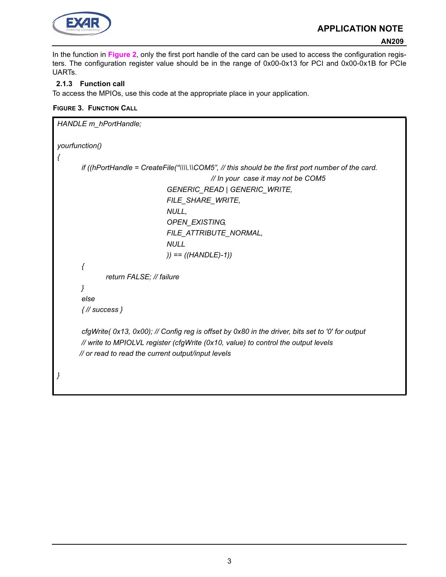

**AN209**

In the function in **[Figure](#page-1-0) 2**, only the first port handle of the card can be used to access the configuration registers. The configuration register value should be in the range of 0x00-0x13 for PCI and 0x00-0x1B for PCIe UARTs.

# **2.1.3 Function call**

To access the MPIOs, use this code at the appropriate place in your application.

```
FIGURE 3. FUNCTION CALL
```

```
HANDLE m_hPortHandle;
yourfunction()
{
        if ((hPortHandle = CreateFile("\\\\.\\COM5", // this should be the first port number of the card. 
                                                 // In your case it may not be COM5
                                   GENERIC_READ | GENERIC_WRITE,
                                   FILE_SHARE_WRITE,
                                   NULL,
                                   OPEN_EXISTING,
                                   FILE_ATTRIBUTE_NORMAL,
                                   NULL
                                   )) == ((HANDLE)-1))
        { 
                return FALSE; // failure
        }
         else
         { // success }
         cfgWrite( 0x13, 0x00); // Config reg is offset by 0x80 in the driver, bits set to '0' for output
        // write to MPIOLVL register (cfgWrite (0x10, value) to control the output levels 
        // or read to read the current output/input levels
}
```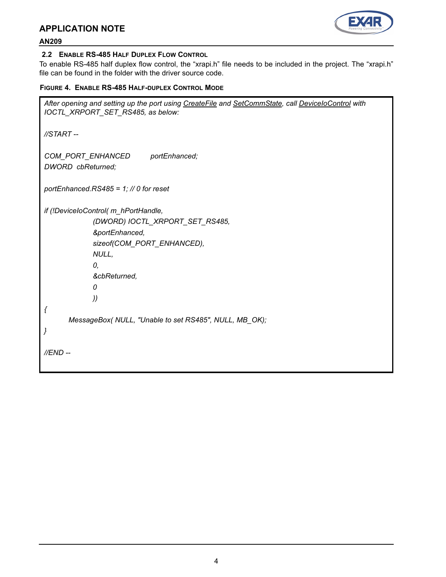# **APPLICATION NOTE**



# **AN209**

### **2.2 ENABLE RS-485 HALF DUPLEX FLOW CONTROL**

To enable RS-485 half duplex flow control, the "xrapi.h" file needs to be included in the project. The "xrapi.h" file can be found in the folder with the driver source code.

#### **FIGURE 4. ENABLE RS-485 HALF-DUPLEX CONTROL MODE**

```
After opening and setting up the port using CreateFile and SetCommState, call DeviceIoControl with 
IOCTL_XRPORT_SET_RS485, as below:
//START --
COM_PORT_ENHANCED portEnhanced;
DWORD cbReturned; 
portEnhanced.RS485 = 1; // 0 for reset
if (!DeviceIoControl( m_hPortHandle,
              (DWORD) IOCTL_XRPORT_SET_RS485,
              &portEnhanced,
              sizeof(COM_PORT_ENHANCED),
              NULL, 
              0, 
              &cbReturned,
 0
              ))
{
       MessageBox( NULL, "Unable to set RS485", NULL, MB_OK);
}
//END --
```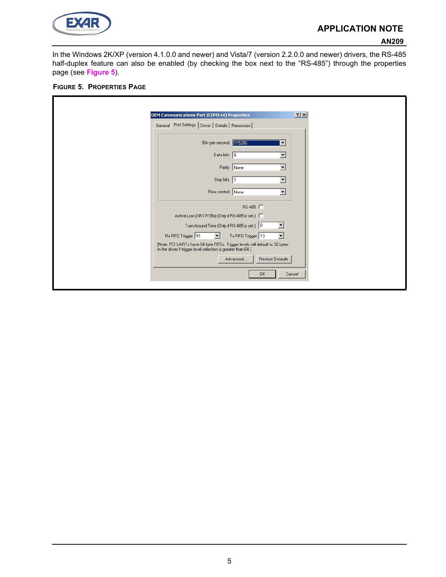

**AN209**

In the Windows 2K/XP (version 4.1.0.0 and newer) and Vista/7 (version 2.2.0.0 and newer) drivers, the RS-485 half-duplex feature can also be enabled (by checking the box next to the "RS-485") through the properties page (see **[Figure](#page-4-0) 5** ).

# <span id="page-4-0"></span>**FIGURE 5. PROPERTIES PAGE**

| <b>OEM Communications Port (COM144) Properties</b><br>General Port Settings   Driver   Details   Resources                                    | 2 X |
|-----------------------------------------------------------------------------------------------------------------------------------------------|-----|
| Bits per second: 115200<br>▼                                                                                                                  |     |
| Data bits: $\boxed{8}$<br>$\overline{\phantom{a}}$                                                                                            |     |
| Parity: None<br>$\blacktriangledown$                                                                                                          |     |
| Stop bits: 1<br>$\overline{\phantom{a}}$                                                                                                      |     |
| Flow control: None<br>$\vert \mathbf{v} \vert$                                                                                                |     |
| RS-485 $\Box$                                                                                                                                 |     |
| Active Low (XR17V35x) (Only if RS-485 is set.) □                                                                                              |     |
| Turn Around Time (Only if RS-485 is set.) 0                                                                                                   |     |
| Tx FIFO Trigger 13<br>Rx FIFO Trigger 51<br>$\blacktriangledown$                                                                              |     |
| [Note: PCI UARTs have 64 byte FIFOs. Trigger levels will default to 32 bytes<br>in the driver if trigger level selection is greater than 64.] |     |
| Advanced<br>Restore Defaults                                                                                                                  |     |
| 0K<br>Cancel                                                                                                                                  |     |
|                                                                                                                                               |     |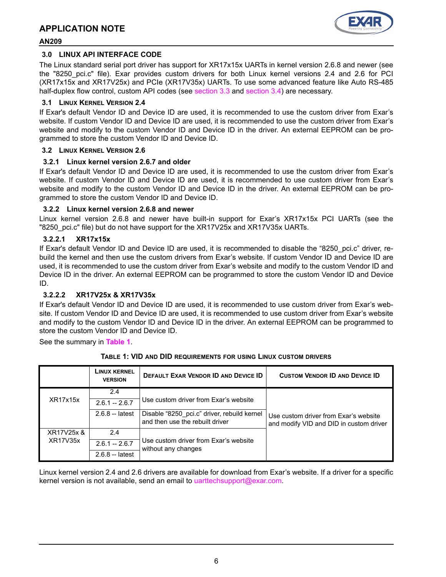

# **AN209**

# **3.0 LINUX API INTERFACE CODE**

The Linux standard serial port driver has support for XR17x15x UARTs in kernel version 2.6.8 and newer (see the "8250\_pci.c" file). Exar provides custom drivers for both Linux kernel versions 2.4 and 2.6 for PCI (XR17x15x and XR17V25x) and PCIe (XR17V35x) UARTs. To use some advanced feature like Auto RS-485 half-duplex flow control, custom API codes (see [section](#page-6-0) 3.3 and [section](#page-7-0) 3.4) are necessary.

## **3.1 LINUX KERNEL VERSION 2.4**

If Exar's default Vendor ID and Device ID are used, it is recommended to use the custom driver from Exar's website. If custom Vendor ID and Device ID are used, it is recommended to use the custom driver from Exar's website and modify to the custom Vendor ID and Device ID in the driver. An external EEPROM can be programmed to store the custom Vendor ID and Device ID.

### **3.2 LINUX KERNEL VERSION 2.6**

# **3.2.1 Linux kernel version 2.6.7 and older**

If Exar's default Vendor ID and Device ID are used, it is recommended to use the custom driver from Exar's website. If custom Vendor ID and Device ID are used, it is recommended to use custom driver from Exar's website and modify to the custom Vendor ID and Device ID in the driver. An external EEPROM can be programmed to store the custom Vendor ID and Device ID.

### **3.2.2 Linux kernel version 2.6.8 and newer**

Linux kernel version 2.6.8 and newer have built-in support for Exar's XR17x15x PCI UARTs (see the "8250\_pci.c" file) but do not have support for the XR17V25x and XR17V35x UARTs.

# **3.2.2.1 XR17x15x**

If Exar's default Vendor ID and Device ID are used, it is recommended to disable the "8250\_pci.c" driver, rebuild the kernel and then use the custom drivers from Exar's website. If custom Vendor ID and Device ID are used, it is recommended to use the custom driver from Exar's website and modify to the custom Vendor ID and Device ID in the driver. An external EEPROM can be programmed to store the custom Vendor ID and Device ID.

# **3.2.2.2 XR17V25x & XR17V35x**

If Exar's default Vendor ID and Device ID are used, it is recommended to use custom driver from Exar's website. If custom Vendor ID and Device ID are used, it is recommended to use custom driver from Exar's website and modify to the custom Vendor ID and Device ID in the driver. An external EEPROM can be programmed to store the custom Vendor ID and Device ID.

<span id="page-5-0"></span>See the summary in **[Table](#page-5-0) 1**.

|            | LINUX KERNEL<br><b>VERSION</b> | <b>DEFAULT EXAR VENDOR ID AND DEVICE ID</b>                                    | <b>CUSTOM VENDOR ID AND DEVICE ID</b>                                            |
|------------|--------------------------------|--------------------------------------------------------------------------------|----------------------------------------------------------------------------------|
|            | 2.4                            |                                                                                |                                                                                  |
| XR17x15x   | $2.6.1 - 2.6.7$                | Use custom driver from Exar's website                                          |                                                                                  |
|            | $2.6.8 -$ latest               | Disable "8250 pci.c" driver, rebuild kernel<br>and then use the rebuilt driver | Use custom driver from Exar's website<br>and modify VID and DID in custom driver |
| XR17V25x & | 2.4                            |                                                                                |                                                                                  |
| XR17V35x   | $2.6.1 - 2.6.7$                | Use custom driver from Exar's website<br>without any changes                   |                                                                                  |
|            | $2.6.8 -$ latest               |                                                                                |                                                                                  |

**TABLE 1: VID AND DID REQUIREMENTS FOR USING LINUX CUSTOM DRIVERS**

Linux kernel version 2.4 and 2.6 drivers are available for download from Exar's website. If a driver for a specific kernel version is not available, send an email to uarttechsupport@exar.com.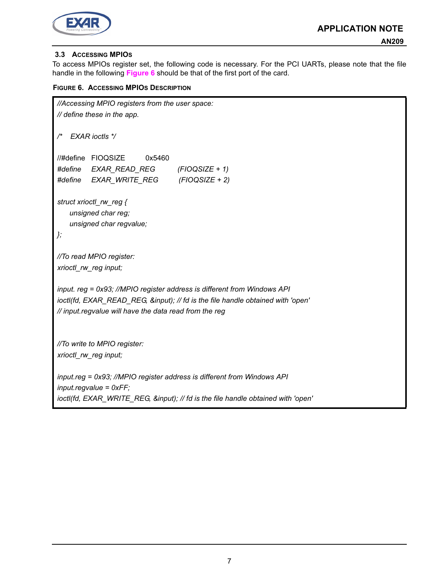

# <span id="page-6-0"></span>**3.3 ACCESSING MPIOS**

To access MPIOs register set, the following code is necessary. For the PCI UARTs, please note that the file handle in the following **[Figure](#page-6-1) 6** should be that of the first port of the card.

### <span id="page-6-1"></span>**FIGURE 6. ACCESSING MPIOS DESCRIPTION**

```
//Accessing MPIO registers from the user space:
// define these in the app.
   /* EXAR ioctls */
//#define FIOQSIZE 0x5460
#define EXAR_READ_REG (FIOQSIZE + 1)
#define EXAR_WRITE_REG (FIOQSIZE + 2)
struct xrioctl_rw_reg {
     unsigned char reg;
     unsigned char regvalue;
};
//To read MPIO register:
xrioctl_rw_reg input;
input. reg = 0x93; //MPIO register address is different from Windows API
ioctl(fd, EXAR_READ_REG, &input); // fd is the file handle obtained with 'open'
// input.regvalue will have the data read from the reg
//To write to MPIO register:
xrioctl_rw_reg input;
input.reg = 0x93; //MPIO register address is different from Windows API
input.regvalue = 0xFF;
ioctl(fd, EXAR_WRITE_REG, &input); // fd is the file handle obtained with 'open'
```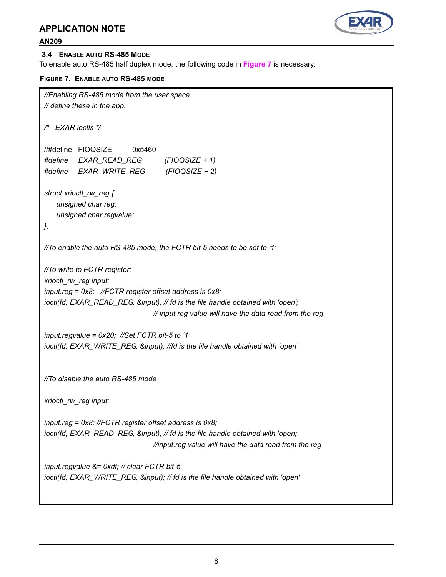# **APPLICATION NOTE**



## **AN209**

### <span id="page-7-0"></span>**3.4 ENABLE AUTO RS-485 MODE**

To enable auto RS-485 half duplex mode, the following code in **[Figure](#page-7-1) 7** is necessary.

### <span id="page-7-1"></span>**FIGURE 7. ENABLE AUTO RS-485 MODE**

```
//Enabling RS-485 mode from the user space 
// define these in the app.
/* EXAR ioctls */
//#define FIOQSIZE 0x5460 
#define EXAR_READ_REG (FIOQSIZE + 1)
#define EXAR_WRITE_REG (FIOQSIZE + 2)
struct xrioctl_rw_reg {
    unsigned char reg;
    unsigned char regvalue;
};
//To enable the auto RS-485 mode, the FCTR bit-5 needs to be set to '1'
//To write to FCTR register:
xrioctl_rw_reg input; 
input.reg = 0x8; //FCTR register offset address is 0x8;
ioctl(fd, EXAR_READ_REG, &input); // fd is the file handle obtained with 'open';
                                  // input.reg value will have the data read from the reg
input.regvalue = 0x20; //Set FCTR bit-5 to '1'
ioctl(fd, EXAR_WRITE_REG, &input); //fd is the file handle obtained with 'open'
//To disable the auto RS-485 mode
xrioctl_rw_reg input;
input.reg = 0x8; //FCTR register offset address is 0x8;
ioctl(fd, EXAR_READ_REG, &input); // fd is the file handle obtained with 'open; 
                                  //input.reg value will have the data read from the reg
input.regvalue &= 0xdf; // clear FCTR bit-5
ioctl(fd, EXAR_WRITE_REG, &input); // fd is the file handle obtained with 'open'
```